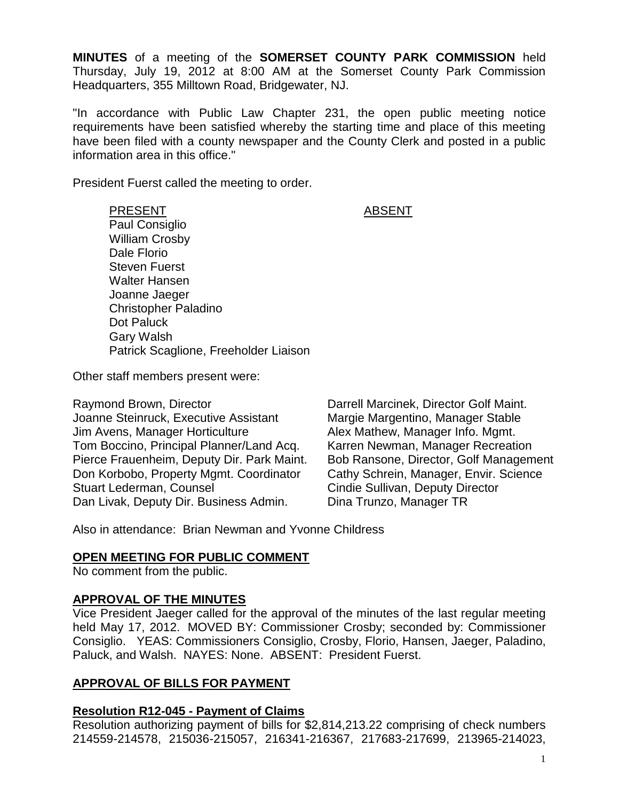**MINUTES** of a meeting of the **SOMERSET COUNTY PARK COMMISSION** held Thursday, July 19, 2012 at 8:00 AM at the Somerset County Park Commission Headquarters, 355 Milltown Road, Bridgewater, NJ.

"In accordance with Public Law Chapter 231, the open public meeting notice requirements have been satisfied whereby the starting time and place of this meeting have been filed with a county newspaper and the County Clerk and posted in a public information area in this office."

President Fuerst called the meeting to order.

#### PRESENT ABSENT

Paul Consiglio William Crosby Dale Florio Steven Fuerst Walter Hansen Joanne Jaeger Christopher Paladino Dot Paluck Gary Walsh Patrick Scaglione, Freeholder Liaison

Other staff members present were:

Raymond Brown, Director **Darrell Marcinek, Director Golf Maint.** Joanne Steinruck, Executive Assistant Margie Margentino, Manager Stable Jim Avens, Manager Horticulture **Alex Mathew, Manager Info. Mgmt.** Tom Boccino, Principal Planner/Land Acq. Karren Newman, Manager Recreation Pierce Frauenheim, Deputy Dir. Park Maint. Bob Ransone, Director, Golf Management Don Korbobo, Property Mgmt. Coordinator Cathy Schrein, Manager, Envir. Science Stuart Lederman, Counsel **Cindie Sullivan, Deputy Director** Dan Livak, Deputy Dir. Business Admin. Dina Trunzo, Manager TR

Also in attendance: Brian Newman and Yvonne Childress

## **OPEN MEETING FOR PUBLIC COMMENT**

No comment from the public.

## **APPROVAL OF THE MINUTES**

Vice President Jaeger called for the approval of the minutes of the last regular meeting held May 17, 2012. MOVED BY: Commissioner Crosby; seconded by: Commissioner Consiglio. YEAS: Commissioners Consiglio, Crosby, Florio, Hansen, Jaeger, Paladino, Paluck, and Walsh. NAYES: None. ABSENT: President Fuerst.

## **APPROVAL OF BILLS FOR PAYMENT**

## **Resolution R12-045 - Payment of Claims**

Resolution authorizing payment of bills for \$2,814,213.22 comprising of check numbers 214559-214578, 215036-215057, 216341-216367, 217683-217699, 213965-214023,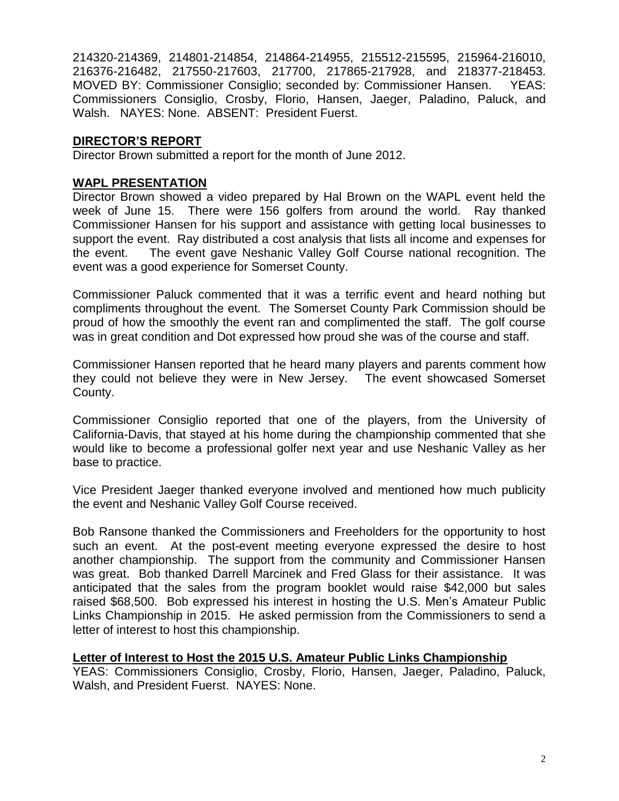214320-214369, 214801-214854, 214864-214955, 215512-215595, 215964-216010, 216376-216482, 217550-217603, 217700, 217865-217928, and 218377-218453. MOVED BY: Commissioner Consiglio; seconded by: Commissioner Hansen. YEAS: Commissioners Consiglio, Crosby, Florio, Hansen, Jaeger, Paladino, Paluck, and Walsh. NAYES: None. ABSENT: President Fuerst.

## **DIRECTOR'S REPORT**

Director Brown submitted a report for the month of June 2012.

#### **WAPL PRESENTATION**

Director Brown showed a video prepared by Hal Brown on the WAPL event held the week of June 15. There were 156 golfers from around the world. Ray thanked Commissioner Hansen for his support and assistance with getting local businesses to support the event. Ray distributed a cost analysis that lists all income and expenses for the event. The event gave Neshanic Valley Golf Course national recognition. The event was a good experience for Somerset County.

Commissioner Paluck commented that it was a terrific event and heard nothing but compliments throughout the event. The Somerset County Park Commission should be proud of how the smoothly the event ran and complimented the staff. The golf course was in great condition and Dot expressed how proud she was of the course and staff.

Commissioner Hansen reported that he heard many players and parents comment how they could not believe they were in New Jersey. The event showcased Somerset County.

Commissioner Consiglio reported that one of the players, from the University of California-Davis, that stayed at his home during the championship commented that she would like to become a professional golfer next year and use Neshanic Valley as her base to practice.

Vice President Jaeger thanked everyone involved and mentioned how much publicity the event and Neshanic Valley Golf Course received.

Bob Ransone thanked the Commissioners and Freeholders for the opportunity to host such an event. At the post-event meeting everyone expressed the desire to host another championship. The support from the community and Commissioner Hansen was great. Bob thanked Darrell Marcinek and Fred Glass for their assistance. It was anticipated that the sales from the program booklet would raise \$42,000 but sales raised \$68,500. Bob expressed his interest in hosting the U.S. Men's Amateur Public Links Championship in 2015. He asked permission from the Commissioners to send a letter of interest to host this championship.

#### **Letter of Interest to Host the 2015 U.S. Amateur Public Links Championship**

YEAS: Commissioners Consiglio, Crosby, Florio, Hansen, Jaeger, Paladino, Paluck, Walsh, and President Fuerst. NAYES: None.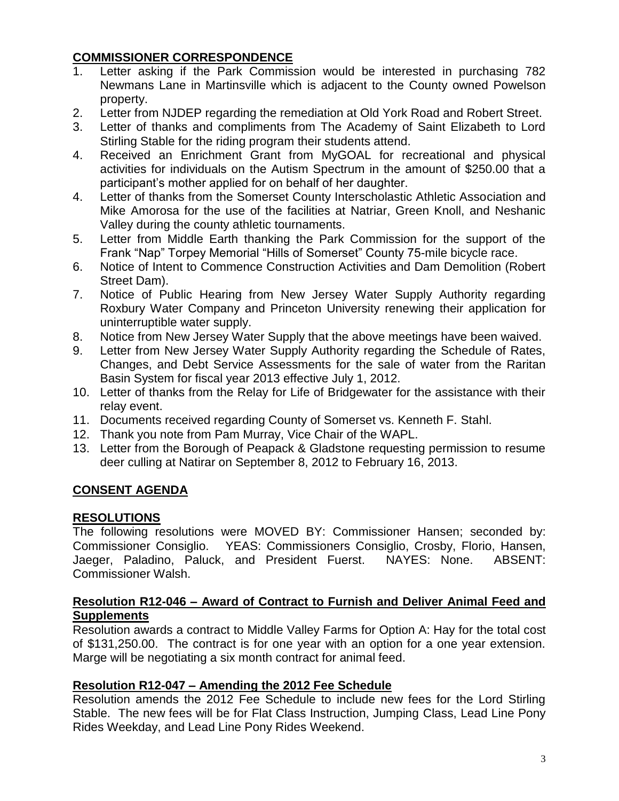# **COMMISSIONER CORRESPONDENCE**

- 1. Letter asking if the Park Commission would be interested in purchasing 782 Newmans Lane in Martinsville which is adjacent to the County owned Powelson property.
- 2. Letter from NJDEP regarding the remediation at Old York Road and Robert Street.
- 3. Letter of thanks and compliments from The Academy of Saint Elizabeth to Lord Stirling Stable for the riding program their students attend.
- 4. Received an Enrichment Grant from MyGOAL for recreational and physical activities for individuals on the Autism Spectrum in the amount of \$250.00 that a participant's mother applied for on behalf of her daughter.
- 4. Letter of thanks from the Somerset County Interscholastic Athletic Association and Mike Amorosa for the use of the facilities at Natriar, Green Knoll, and Neshanic Valley during the county athletic tournaments.
- 5. Letter from Middle Earth thanking the Park Commission for the support of the Frank "Nap" Torpey Memorial "Hills of Somerset" County 75-mile bicycle race.
- 6. Notice of Intent to Commence Construction Activities and Dam Demolition (Robert Street Dam).
- 7. Notice of Public Hearing from New Jersey Water Supply Authority regarding Roxbury Water Company and Princeton University renewing their application for uninterruptible water supply.
- 8. Notice from New Jersey Water Supply that the above meetings have been waived.
- 9. Letter from New Jersey Water Supply Authority regarding the Schedule of Rates, Changes, and Debt Service Assessments for the sale of water from the Raritan Basin System for fiscal year 2013 effective July 1, 2012.
- 10. Letter of thanks from the Relay for Life of Bridgewater for the assistance with their relay event.
- 11. Documents received regarding County of Somerset vs. Kenneth F. Stahl.
- 12. Thank you note from Pam Murray, Vice Chair of the WAPL.
- 13. Letter from the Borough of Peapack & Gladstone requesting permission to resume deer culling at Natirar on September 8, 2012 to February 16, 2013.

# **CONSENT AGENDA**

# **RESOLUTIONS**

The following resolutions were MOVED BY: Commissioner Hansen; seconded by: Commissioner Consiglio. YEAS: Commissioners Consiglio, Crosby, Florio, Hansen, Jaeger, Paladino, Paluck, and President Fuerst. NAYES: None. ABSENT: Commissioner Walsh.

## **Resolution R12-046 – Award of Contract to Furnish and Deliver Animal Feed and Supplements**

Resolution awards a contract to Middle Valley Farms for Option A: Hay for the total cost of \$131,250.00. The contract is for one year with an option for a one year extension. Marge will be negotiating a six month contract for animal feed.

# **Resolution R12-047 – Amending the 2012 Fee Schedule**

Resolution amends the 2012 Fee Schedule to include new fees for the Lord Stirling Stable. The new fees will be for Flat Class Instruction, Jumping Class, Lead Line Pony Rides Weekday, and Lead Line Pony Rides Weekend.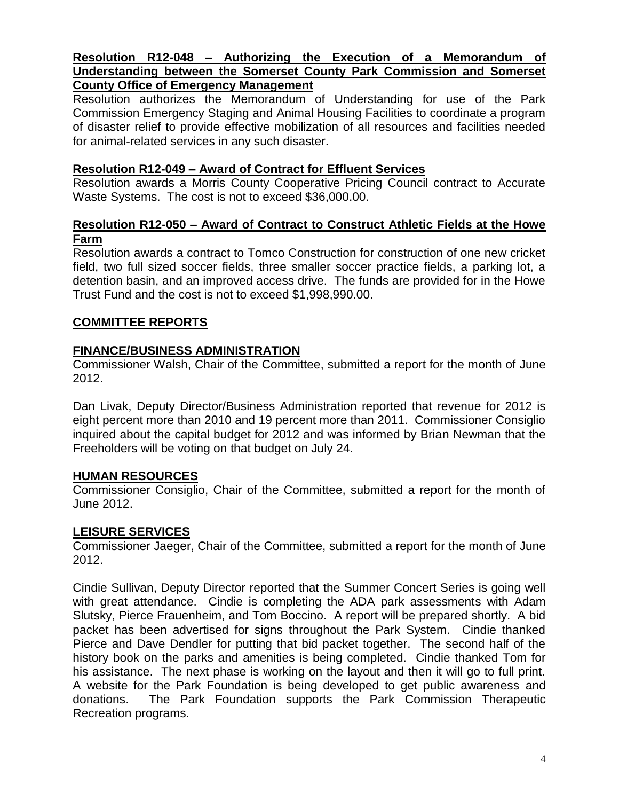#### **Resolution R12-048 – Authorizing the Execution of a Memorandum of Understanding between the Somerset County Park Commission and Somerset County Office of Emergency Management**

Resolution authorizes the Memorandum of Understanding for use of the Park Commission Emergency Staging and Animal Housing Facilities to coordinate a program of disaster relief to provide effective mobilization of all resources and facilities needed for animal-related services in any such disaster.

## **Resolution R12-049 – Award of Contract for Effluent Services**

Resolution awards a Morris County Cooperative Pricing Council contract to Accurate Waste Systems. The cost is not to exceed \$36,000.00.

## **Resolution R12-050 – Award of Contract to Construct Athletic Fields at the Howe Farm**

Resolution awards a contract to Tomco Construction for construction of one new cricket field, two full sized soccer fields, three smaller soccer practice fields, a parking lot, a detention basin, and an improved access drive. The funds are provided for in the Howe Trust Fund and the cost is not to exceed \$1,998,990.00.

## **COMMITTEE REPORTS**

## **FINANCE/BUSINESS ADMINISTRATION**

Commissioner Walsh, Chair of the Committee, submitted a report for the month of June 2012.

Dan Livak, Deputy Director/Business Administration reported that revenue for 2012 is eight percent more than 2010 and 19 percent more than 2011. Commissioner Consiglio inquired about the capital budget for 2012 and was informed by Brian Newman that the Freeholders will be voting on that budget on July 24.

## **HUMAN RESOURCES**

Commissioner Consiglio, Chair of the Committee, submitted a report for the month of June 2012.

## **LEISURE SERVICES**

Commissioner Jaeger, Chair of the Committee, submitted a report for the month of June 2012.

Cindie Sullivan, Deputy Director reported that the Summer Concert Series is going well with great attendance. Cindie is completing the ADA park assessments with Adam Slutsky, Pierce Frauenheim, and Tom Boccino. A report will be prepared shortly. A bid packet has been advertised for signs throughout the Park System. Cindie thanked Pierce and Dave Dendler for putting that bid packet together. The second half of the history book on the parks and amenities is being completed. Cindie thanked Tom for his assistance. The next phase is working on the layout and then it will go to full print. A website for the Park Foundation is being developed to get public awareness and donations. The Park Foundation supports the Park Commission Therapeutic Recreation programs.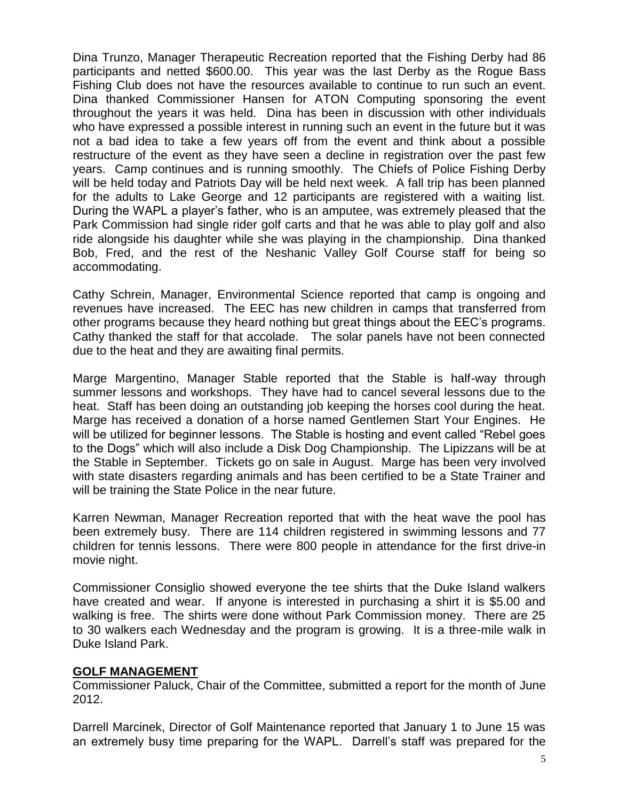Dina Trunzo, Manager Therapeutic Recreation reported that the Fishing Derby had 86 participants and netted \$600.00. This year was the last Derby as the Rogue Bass Fishing Club does not have the resources available to continue to run such an event. Dina thanked Commissioner Hansen for ATON Computing sponsoring the event throughout the years it was held. Dina has been in discussion with other individuals who have expressed a possible interest in running such an event in the future but it was not a bad idea to take a few years off from the event and think about a possible restructure of the event as they have seen a decline in registration over the past few years. Camp continues and is running smoothly. The Chiefs of Police Fishing Derby will be held today and Patriots Day will be held next week. A fall trip has been planned for the adults to Lake George and 12 participants are registered with a waiting list. During the WAPL a player's father, who is an amputee, was extremely pleased that the Park Commission had single rider golf carts and that he was able to play golf and also ride alongside his daughter while she was playing in the championship. Dina thanked Bob, Fred, and the rest of the Neshanic Valley Golf Course staff for being so accommodating.

Cathy Schrein, Manager, Environmental Science reported that camp is ongoing and revenues have increased. The EEC has new children in camps that transferred from other programs because they heard nothing but great things about the EEC's programs. Cathy thanked the staff for that accolade. The solar panels have not been connected due to the heat and they are awaiting final permits.

Marge Margentino, Manager Stable reported that the Stable is half-way through summer lessons and workshops. They have had to cancel several lessons due to the heat. Staff has been doing an outstanding job keeping the horses cool during the heat. Marge has received a donation of a horse named Gentlemen Start Your Engines. He will be utilized for beginner lessons. The Stable is hosting and event called "Rebel goes to the Dogs" which will also include a Disk Dog Championship. The Lipizzans will be at the Stable in September. Tickets go on sale in August. Marge has been very involved with state disasters regarding animals and has been certified to be a State Trainer and will be training the State Police in the near future.

Karren Newman, Manager Recreation reported that with the heat wave the pool has been extremely busy. There are 114 children registered in swimming lessons and 77 children for tennis lessons. There were 800 people in attendance for the first drive-in movie night.

Commissioner Consiglio showed everyone the tee shirts that the Duke Island walkers have created and wear. If anyone is interested in purchasing a shirt it is \$5.00 and walking is free. The shirts were done without Park Commission money. There are 25 to 30 walkers each Wednesday and the program is growing. It is a three-mile walk in Duke Island Park.

## **GOLF MANAGEMENT**

Commissioner Paluck, Chair of the Committee, submitted a report for the month of June 2012.

Darrell Marcinek, Director of Golf Maintenance reported that January 1 to June 15 was an extremely busy time preparing for the WAPL. Darrell's staff was prepared for the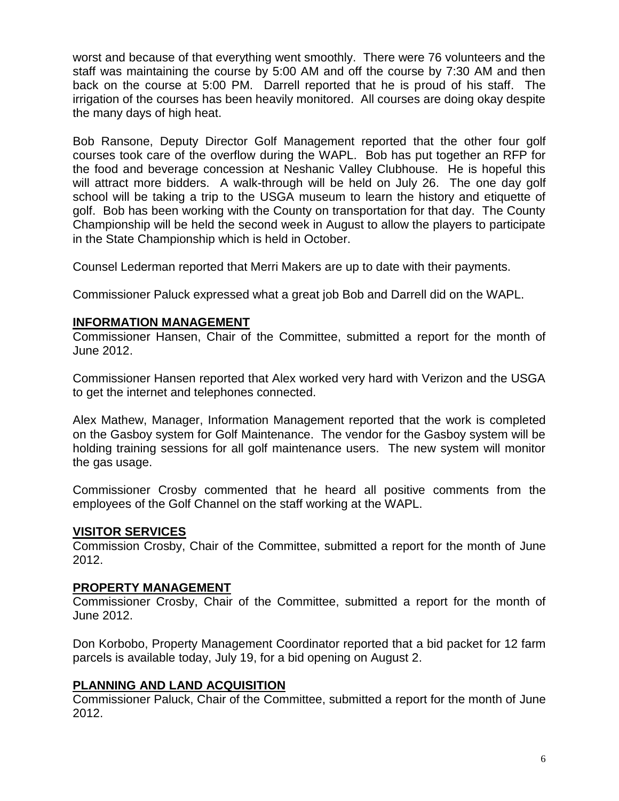worst and because of that everything went smoothly. There were 76 volunteers and the staff was maintaining the course by 5:00 AM and off the course by 7:30 AM and then back on the course at 5:00 PM. Darrell reported that he is proud of his staff. The irrigation of the courses has been heavily monitored. All courses are doing okay despite the many days of high heat.

Bob Ransone, Deputy Director Golf Management reported that the other four golf courses took care of the overflow during the WAPL. Bob has put together an RFP for the food and beverage concession at Neshanic Valley Clubhouse. He is hopeful this will attract more bidders. A walk-through will be held on July 26. The one day golf school will be taking a trip to the USGA museum to learn the history and etiquette of golf. Bob has been working with the County on transportation for that day. The County Championship will be held the second week in August to allow the players to participate in the State Championship which is held in October.

Counsel Lederman reported that Merri Makers are up to date with their payments.

Commissioner Paluck expressed what a great job Bob and Darrell did on the WAPL.

#### **INFORMATION MANAGEMENT**

Commissioner Hansen, Chair of the Committee, submitted a report for the month of June 2012.

Commissioner Hansen reported that Alex worked very hard with Verizon and the USGA to get the internet and telephones connected.

Alex Mathew, Manager, Information Management reported that the work is completed on the Gasboy system for Golf Maintenance. The vendor for the Gasboy system will be holding training sessions for all golf maintenance users. The new system will monitor the gas usage.

Commissioner Crosby commented that he heard all positive comments from the employees of the Golf Channel on the staff working at the WAPL.

#### **VISITOR SERVICES**

Commission Crosby, Chair of the Committee, submitted a report for the month of June 2012.

#### **PROPERTY MANAGEMENT**

Commissioner Crosby, Chair of the Committee, submitted a report for the month of June 2012.

Don Korbobo, Property Management Coordinator reported that a bid packet for 12 farm parcels is available today, July 19, for a bid opening on August 2.

## **PLANNING AND LAND ACQUISITION**

Commissioner Paluck, Chair of the Committee, submitted a report for the month of June 2012.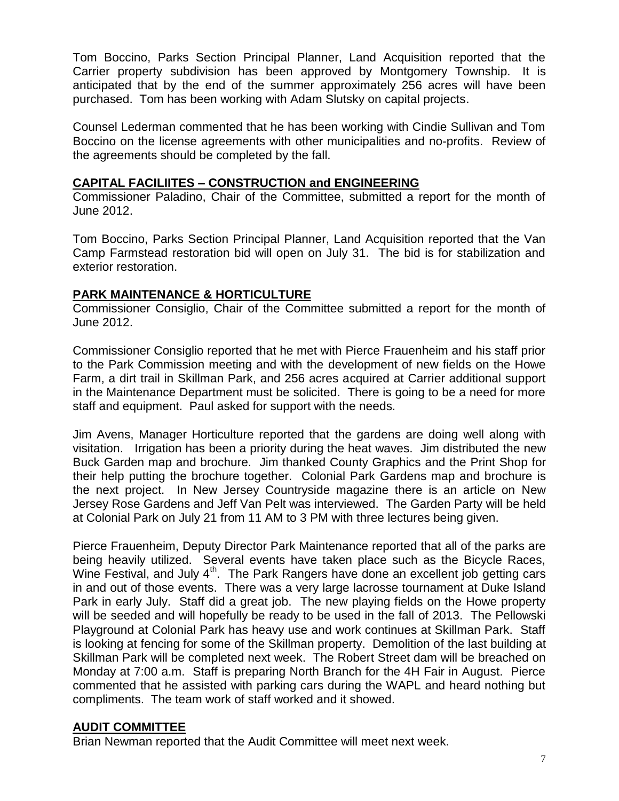Tom Boccino, Parks Section Principal Planner, Land Acquisition reported that the Carrier property subdivision has been approved by Montgomery Township. It is anticipated that by the end of the summer approximately 256 acres will have been purchased. Tom has been working with Adam Slutsky on capital projects.

Counsel Lederman commented that he has been working with Cindie Sullivan and Tom Boccino on the license agreements with other municipalities and no-profits. Review of the agreements should be completed by the fall.

## **CAPITAL FACILIITES – CONSTRUCTION and ENGINEERING**

Commissioner Paladino, Chair of the Committee, submitted a report for the month of June 2012.

Tom Boccino, Parks Section Principal Planner, Land Acquisition reported that the Van Camp Farmstead restoration bid will open on July 31. The bid is for stabilization and exterior restoration.

# **PARK MAINTENANCE & HORTICULTURE**

Commissioner Consiglio, Chair of the Committee submitted a report for the month of June 2012.

Commissioner Consiglio reported that he met with Pierce Frauenheim and his staff prior to the Park Commission meeting and with the development of new fields on the Howe Farm, a dirt trail in Skillman Park, and 256 acres acquired at Carrier additional support in the Maintenance Department must be solicited. There is going to be a need for more staff and equipment. Paul asked for support with the needs.

Jim Avens, Manager Horticulture reported that the gardens are doing well along with visitation. Irrigation has been a priority during the heat waves. Jim distributed the new Buck Garden map and brochure. Jim thanked County Graphics and the Print Shop for their help putting the brochure together. Colonial Park Gardens map and brochure is the next project. In New Jersey Countryside magazine there is an article on New Jersey Rose Gardens and Jeff Van Pelt was interviewed. The Garden Party will be held at Colonial Park on July 21 from 11 AM to 3 PM with three lectures being given.

Pierce Frauenheim, Deputy Director Park Maintenance reported that all of the parks are being heavily utilized. Several events have taken place such as the Bicycle Races, Wine Festival, and July 4<sup>th</sup>. The Park Rangers have done an excellent job getting cars in and out of those events. There was a very large lacrosse tournament at Duke Island Park in early July. Staff did a great job. The new playing fields on the Howe property will be seeded and will hopefully be ready to be used in the fall of 2013. The Pellowski Playground at Colonial Park has heavy use and work continues at Skillman Park. Staff is looking at fencing for some of the Skillman property. Demolition of the last building at Skillman Park will be completed next week. The Robert Street dam will be breached on Monday at 7:00 a.m. Staff is preparing North Branch for the 4H Fair in August. Pierce commented that he assisted with parking cars during the WAPL and heard nothing but compliments. The team work of staff worked and it showed.

# **AUDIT COMMITTEE**

Brian Newman reported that the Audit Committee will meet next week.